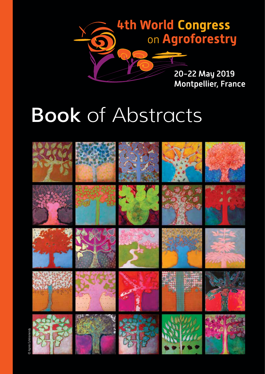

## **Book of Abstracts**

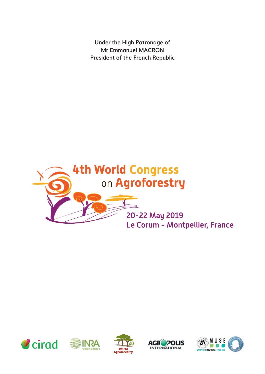**Under the High Patronage of Mr Emmanuel MACRON President of the French Republic**











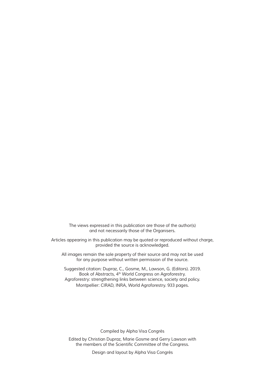The views expressed in this publication are those of the author(s) and not necessarily those of the Organisers.

Articles appearing in this publication may be quoted or reproduced without charge, provided the source is acknowledged.

All images remain the sole property of their source and may not be used for any purpose without written permission of the source.

Suggested citation: Dupraz, C., Gosme, M., Lawson, G. (Editors). 2019. Book of Abstracts, 4th World Congress on Agroforestry. Agroforestry: strengthening links between science, society and policy. Montpellier: CIRAD, INRA, World Agroforestry. 933 pages.

Compiled by Alpha Visa Congrès

Edited by Christian Dupraz, Marie Gosme and Gerry Lawson with the members of the Scientifc Committee of the Congress.

Design and layout by Alpha Visa Congrès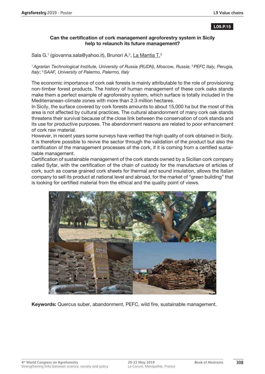## **L09.P.15**

## **Can the certification of cork management agroforestry system in Sicily help to relaunch its future management?**

Sala G.<sup>1</sup> (giovanna.sala@yahoo.it), Brunori A.<sup>2</sup>, La Mantia T.<sup>3</sup>

<sup>1</sup>*Agrarian Technological Institute, University of Russia (RUDN), Moscow, Russia*; 2*PEFC Italy, Perugia, Italy*; 3*SAAF, University of Palermo, Palermo, Italy*

The economic importance of cork oak forests is mainly attributable to the role of provisioning non-timber forest products. The history of human management of these cork oaks stands make them a perfect example of agroforestry system, which surface is totally included in the Mediterranean-climate zones with more than 2.3 million hectares.

In Sicily, the surface covered by cork forests amounts to about 15,000 ha but the most of this area is not affected by cultural practices. The cultural abandonment of many cork oak stands threatens their survival because of the close link between the conservation of cork stands and its use for productive purposes. The abandonment reasons are related to poor enhancement of cork raw material.

However, in recent years some surveys have verified the high quality of cork obtained in Sicily. It is therefore possible to revive the sector through the validation of the product but also the certification of the management processes of the cork, if it is coming from a certified sustainable management.

Certification of sustainable management of the cork stands owned by a Sicilian cork company called Syfar, with the certification of the chain of custody for the manufacture of articles of cork, such as coarse grained cork sheets for thermal and sound insulation, allows the Italian company to sell its product at national level and abroad, for the market of "green building" that is looking for certified material from the ethical and the quality point of views.



**Keywords:** Quercus suber, abandonment, PEFC, wild fire, sustainable management.